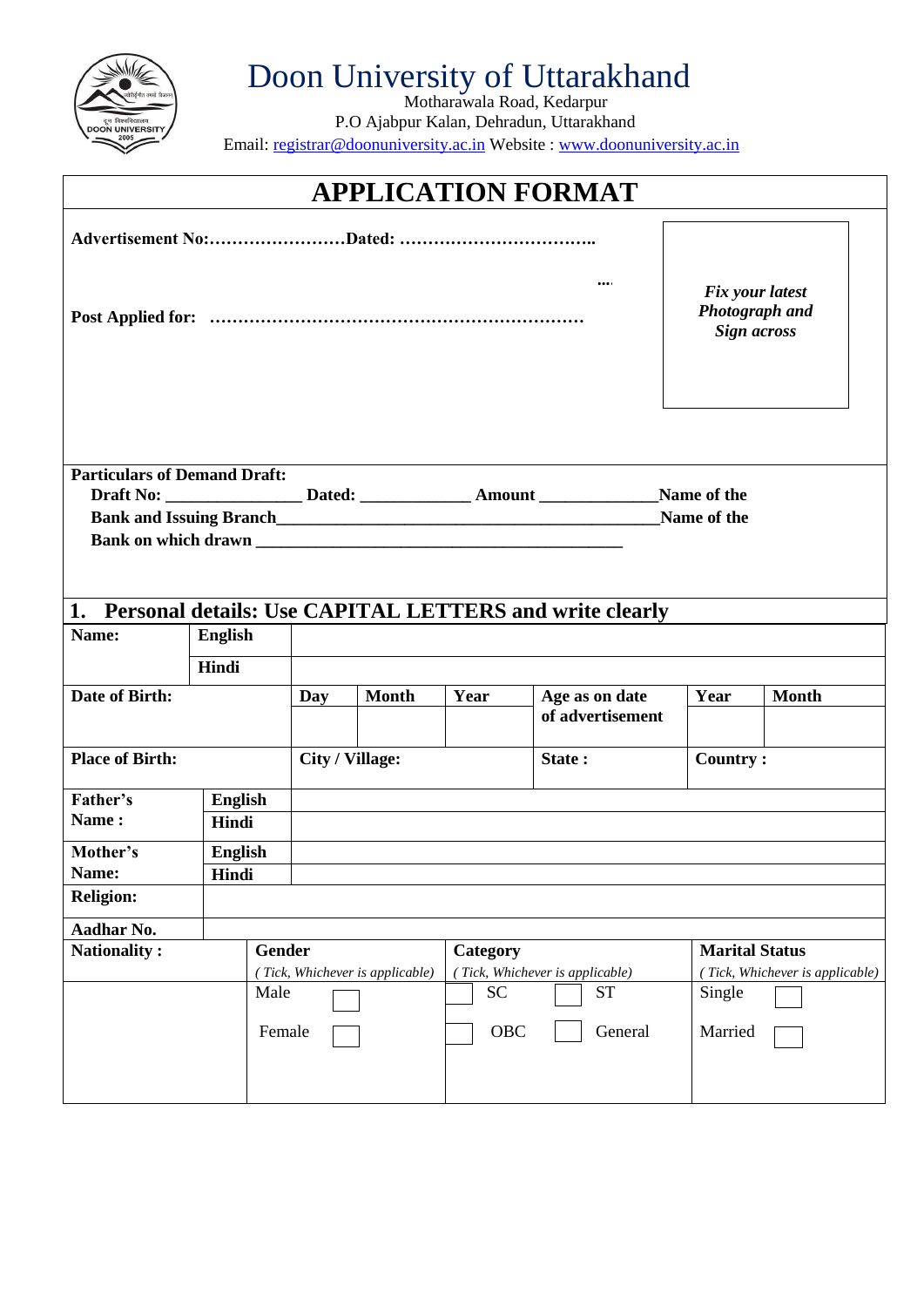

## Doon University of Uttarakhand

Motharawala Road, Kedarpur P.O Ajabpur Kalan, Dehradun, Uttarakhand Email: registrar@doonuniversity.ac.in Website : www.doonuniversity.ac.in

| <b>APPLICATION FORMAT</b>                                         |                |        |                 |                                 |           |                                                         |                                                                |                       |                                 |
|-------------------------------------------------------------------|----------------|--------|-----------------|---------------------------------|-----------|---------------------------------------------------------|----------------------------------------------------------------|-----------------------|---------------------------------|
|                                                                   |                |        |                 |                                 |           |                                                         |                                                                |                       |                                 |
|                                                                   |                |        |                 |                                 |           |                                                         | Fix your latest<br><b>Photograph</b> and<br><b>Sign across</b> |                       |                                 |
| <b>Particulars of Demand Draft:</b><br>Name of the<br>Name of the |                |        |                 |                                 |           |                                                         |                                                                |                       |                                 |
| 1.                                                                |                |        |                 |                                 |           | Personal details: Use CAPITAL LETTERS and write clearly |                                                                |                       |                                 |
| Name:                                                             | <b>English</b> |        |                 |                                 |           |                                                         |                                                                |                       |                                 |
|                                                                   | Hindi          |        |                 |                                 |           |                                                         |                                                                |                       |                                 |
| Date of Birth:                                                    |                |        | Day             | <b>Month</b>                    | Year      | Age as on date<br>of advertisement                      |                                                                | Year                  | <b>Month</b>                    |
| <b>Place of Birth:</b>                                            |                |        | City / Village: |                                 |           | State:                                                  |                                                                | <b>Country:</b>       |                                 |
| Father's                                                          | English        |        |                 |                                 |           |                                                         |                                                                |                       |                                 |
| Name:                                                             | Hindi          |        |                 |                                 |           |                                                         |                                                                |                       |                                 |
| Mother's                                                          | <b>English</b> |        |                 |                                 |           |                                                         |                                                                |                       |                                 |
| Name:<br><b>Religion:</b>                                         | Hindi          |        |                 |                                 |           |                                                         |                                                                |                       |                                 |
|                                                                   |                |        |                 |                                 |           |                                                         |                                                                |                       |                                 |
| Aadhar No.<br><b>Nationality:</b>                                 |                | Gender |                 |                                 | Category  |                                                         |                                                                | <b>Marital Status</b> |                                 |
|                                                                   |                |        |                 | (Tick, Whichever is applicable) |           | (Tick, Whichever is applicable)                         |                                                                |                       | (Tick, Whichever is applicable) |
|                                                                   |                | Male   |                 |                                 | <b>SC</b> | <b>ST</b>                                               |                                                                | Single                |                                 |
|                                                                   |                | Female |                 |                                 | OBC       | General                                                 |                                                                | Married               |                                 |
|                                                                   |                |        |                 |                                 |           |                                                         |                                                                |                       |                                 |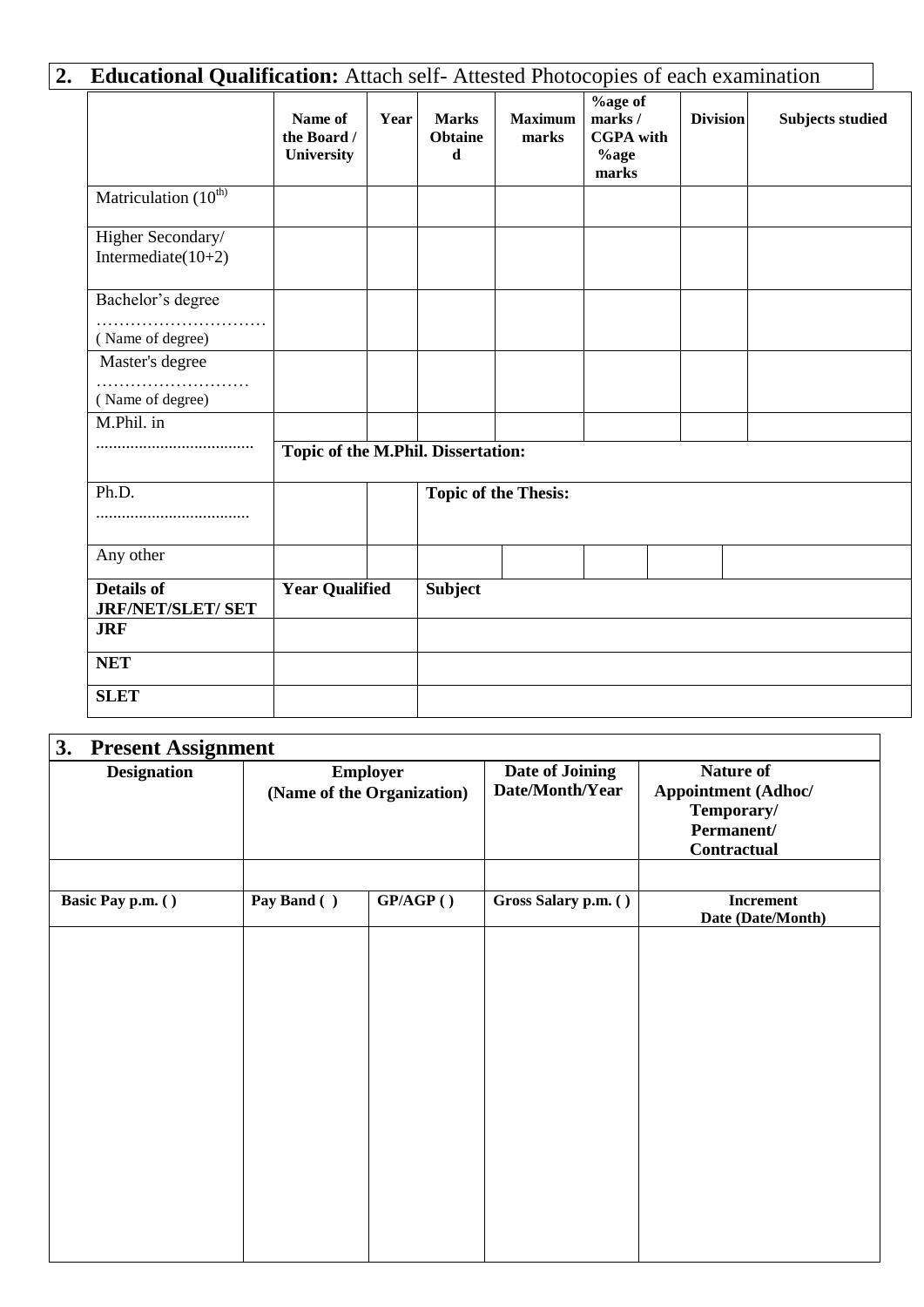| <b>Educational Qualification:</b> Attach self-Attested Photocopies of each examination |                                      |      |                                               |                             |                                                                  |                 |                         |
|----------------------------------------------------------------------------------------|--------------------------------------|------|-----------------------------------------------|-----------------------------|------------------------------------------------------------------|-----------------|-------------------------|
|                                                                                        | Name of<br>the Board /<br>University | Year | <b>Marks</b><br><b>Obtaine</b><br>$\mathbf d$ | <b>Maximum</b><br>marks     | <b>%age of</b><br>marks/<br><b>CGPA</b> with<br>$%$ age<br>marks | <b>Division</b> | <b>Subjects studied</b> |
| Matriculation (10 <sup>th)</sup>                                                       |                                      |      |                                               |                             |                                                                  |                 |                         |
| Higher Secondary/<br>Intermediate $(10+2)$                                             |                                      |      |                                               |                             |                                                                  |                 |                         |
| Bachelor's degree<br>.<br>.<br>(Name of degree)                                        |                                      |      |                                               |                             |                                                                  |                 |                         |
| Master's degree<br>(Name of degree)                                                    |                                      |      |                                               |                             |                                                                  |                 |                         |
| M.Phil. in                                                                             | Topic of the M.Phil. Dissertation:   |      |                                               |                             |                                                                  |                 |                         |
| Ph.D.<br>                                                                              |                                      |      |                                               | <b>Topic of the Thesis:</b> |                                                                  |                 |                         |
| Any other                                                                              |                                      |      |                                               |                             |                                                                  |                 |                         |
| <b>Details of</b><br><b>JRF/NET/SLET/ SET</b>                                          | <b>Year Qualified</b>                |      | <b>Subject</b>                                |                             |                                                                  |                 |                         |
| <b>JRF</b>                                                                             |                                      |      |                                               |                             |                                                                  |                 |                         |
| <b>NET</b>                                                                             |                                      |      |                                               |                             |                                                                  |                 |                         |
| <b>SLET</b>                                                                            |                                      |      |                                               |                             |                                                                  |                 |                         |

| 3.<br><b>Present Assignment</b><br><b>Designation</b><br>Basic Pay p.m. () |             | <b>Employer</b><br>(Name of the Organization) | <b>Date of Joining</b><br>Date/Month/Year | <b>Nature of</b><br><b>Appointment (Adhoc/</b><br>Temporary/<br>Permanent/<br><b>Contractual</b><br><b>Increment</b><br>Date (Date/Month) |  |
|----------------------------------------------------------------------------|-------------|-----------------------------------------------|-------------------------------------------|-------------------------------------------------------------------------------------------------------------------------------------------|--|
|                                                                            | Pay Band () | GP/AGP()                                      | Gross Salary p.m. ()                      |                                                                                                                                           |  |
|                                                                            |             |                                               |                                           |                                                                                                                                           |  |
|                                                                            |             |                                               |                                           |                                                                                                                                           |  |
|                                                                            |             |                                               |                                           |                                                                                                                                           |  |
|                                                                            |             |                                               |                                           |                                                                                                                                           |  |
|                                                                            |             |                                               |                                           |                                                                                                                                           |  |
|                                                                            |             |                                               |                                           |                                                                                                                                           |  |
|                                                                            |             |                                               |                                           |                                                                                                                                           |  |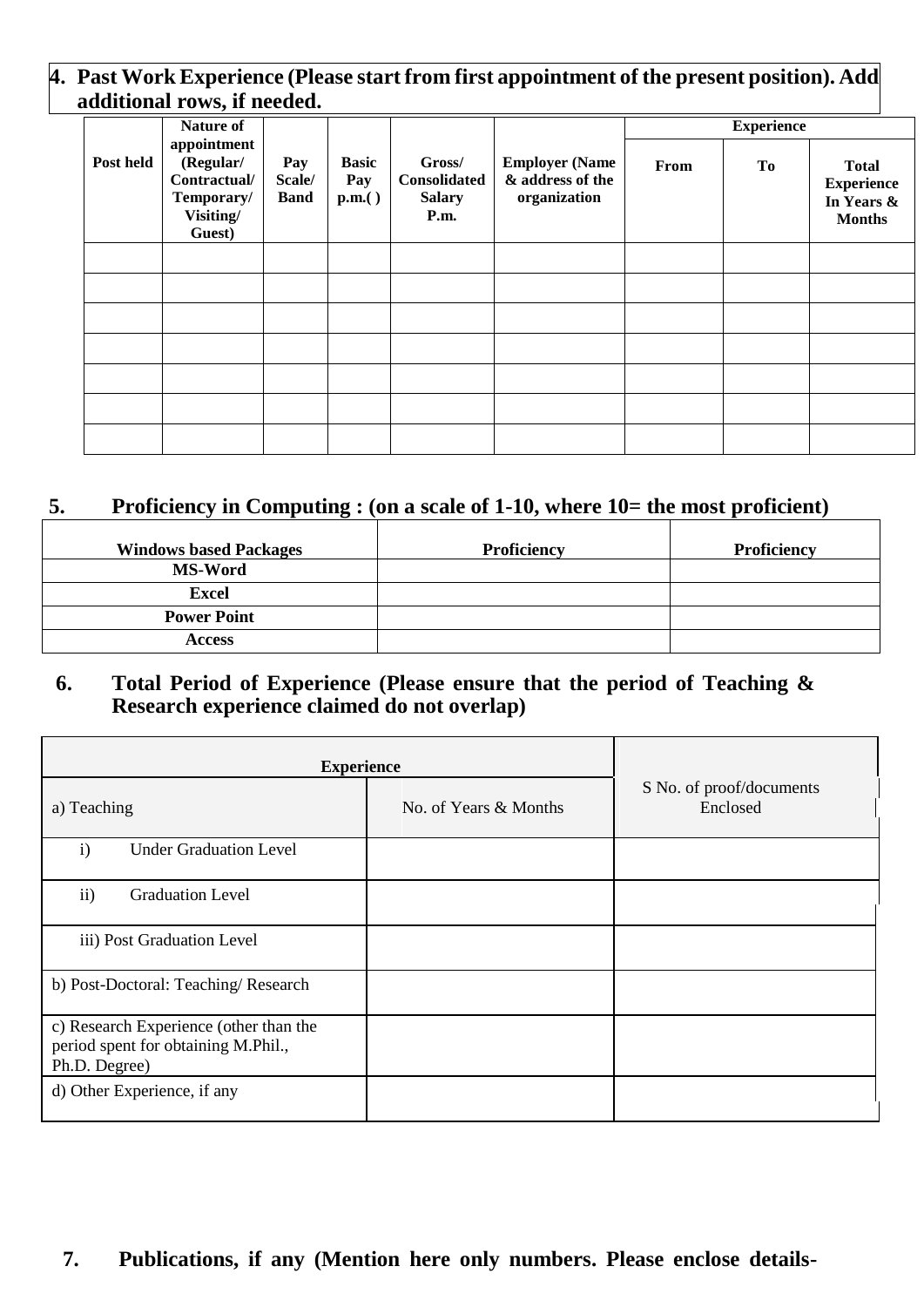### **4. Past Work Experience (Please start from first appointment of the present position). Add additional rows, if needed.**

|           | Nature of                                                                     |                              |                                |                                                 |                                                           |      | <b>Experience</b> |                                                                  |
|-----------|-------------------------------------------------------------------------------|------------------------------|--------------------------------|-------------------------------------------------|-----------------------------------------------------------|------|-------------------|------------------------------------------------------------------|
| Post held | appointment<br>(Regular/<br>Contractual/<br>Temporary/<br>Visiting/<br>Guest) | Pay<br>Scale/<br><b>Band</b> | <b>Basic</b><br>Pay<br>p.m.( ) | Gross/<br>Consolidated<br><b>Salary</b><br>P.m. | <b>Employer (Name</b><br>& address of the<br>organization | From | To                | <b>Total</b><br><b>Experience</b><br>In Years &<br><b>Months</b> |
|           |                                                                               |                              |                                |                                                 |                                                           |      |                   |                                                                  |
|           |                                                                               |                              |                                |                                                 |                                                           |      |                   |                                                                  |
|           |                                                                               |                              |                                |                                                 |                                                           |      |                   |                                                                  |
|           |                                                                               |                              |                                |                                                 |                                                           |      |                   |                                                                  |
|           |                                                                               |                              |                                |                                                 |                                                           |      |                   |                                                                  |
|           |                                                                               |                              |                                |                                                 |                                                           |      |                   |                                                                  |
|           |                                                                               |                              |                                |                                                 |                                                           |      |                   |                                                                  |

## **5. Proficiency in Computing : (on a scale of 1-10, where 10= the most proficient)**

| <b>Windows based Packages</b> | Proficiency | Proficiency |
|-------------------------------|-------------|-------------|
| <b>MS-Word</b>                |             |             |
| <b>Excel</b>                  |             |             |
| <b>Power Point</b>            |             |             |
| <b>Access</b>                 |             |             |

### **6. Total Period of Experience (Please ensure that the period of Teaching & Research experience claimed do not overlap)**

| <b>Experience</b>                                                                              |                       |                                      |  |  |
|------------------------------------------------------------------------------------------------|-----------------------|--------------------------------------|--|--|
| a) Teaching                                                                                    | No. of Years & Months | S No. of proof/documents<br>Enclosed |  |  |
| <b>Under Graduation Level</b><br>$\mathbf{i}$                                                  |                       |                                      |  |  |
| $\mathbf{ii}$<br><b>Graduation Level</b>                                                       |                       |                                      |  |  |
| iii) Post Graduation Level                                                                     |                       |                                      |  |  |
| b) Post-Doctoral: Teaching/Research                                                            |                       |                                      |  |  |
| c) Research Experience (other than the<br>period spent for obtaining M.Phil.,<br>Ph.D. Degree) |                       |                                      |  |  |
| d) Other Experience, if any                                                                    |                       |                                      |  |  |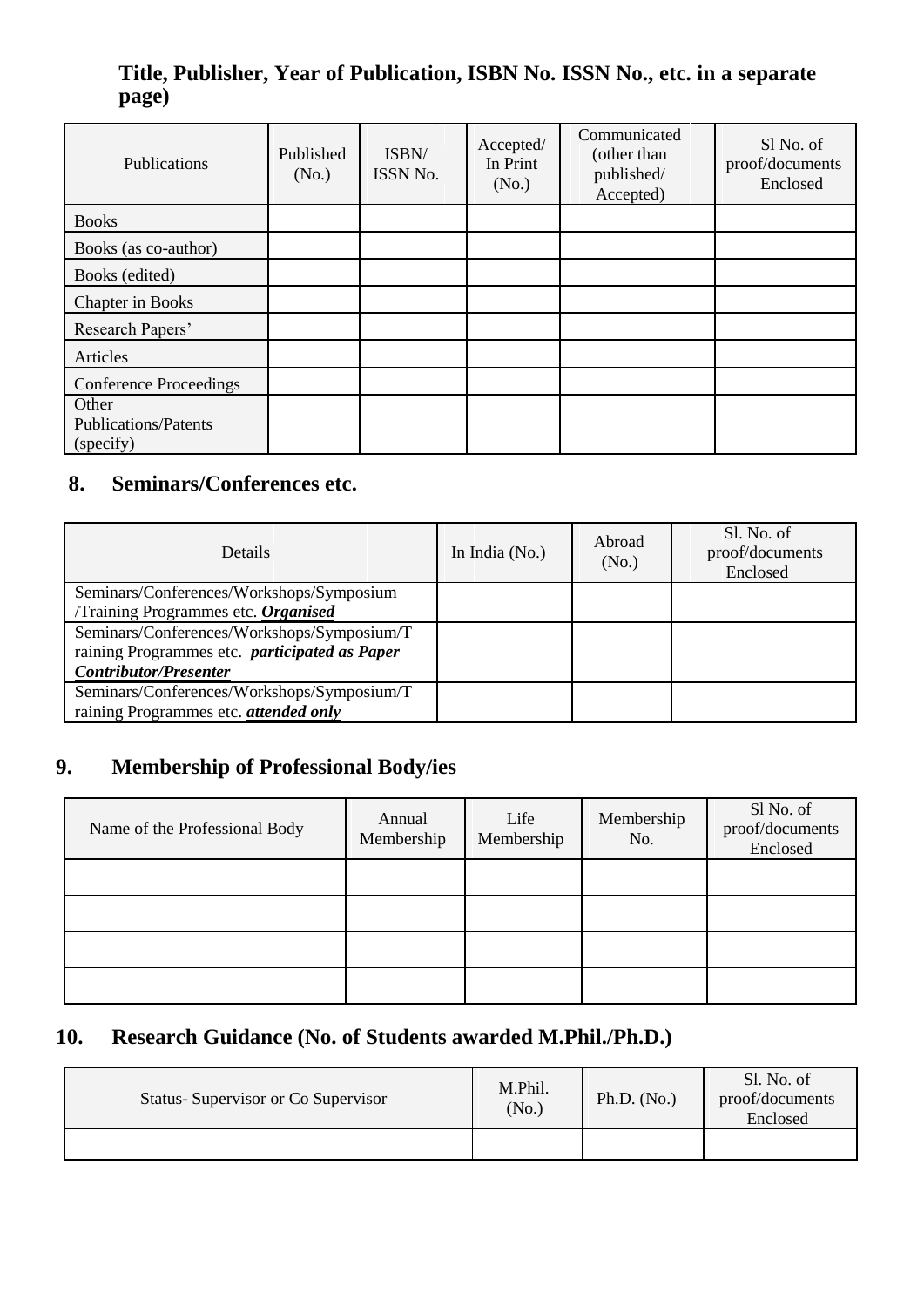## **Title, Publisher, Year of Publication, ISBN No. ISSN No., etc. in a separate page)**

| Publications                                      | Published<br>(No.) | ISBN/<br>ISSN No. | Accepted/<br>In Print<br>(No.) | Communicated<br>(other than<br>published/<br>Accepted) | Sl No. of<br>proof/documents<br>Enclosed |
|---------------------------------------------------|--------------------|-------------------|--------------------------------|--------------------------------------------------------|------------------------------------------|
| <b>Books</b>                                      |                    |                   |                                |                                                        |                                          |
| Books (as co-author)                              |                    |                   |                                |                                                        |                                          |
| Books (edited)                                    |                    |                   |                                |                                                        |                                          |
| Chapter in Books                                  |                    |                   |                                |                                                        |                                          |
| Research Papers'                                  |                    |                   |                                |                                                        |                                          |
| Articles                                          |                    |                   |                                |                                                        |                                          |
| <b>Conference Proceedings</b>                     |                    |                   |                                |                                                        |                                          |
| Other<br><b>Publications/Patents</b><br>(specify) |                    |                   |                                |                                                        |                                          |

## **8. 8. Seminars/Conferences etc.**

| <b>Details</b>                                       | In India $(No.)$ | Abroad<br>(No.) | Sl. No. of<br>proof/documents<br>Enclosed |
|------------------------------------------------------|------------------|-----------------|-------------------------------------------|
| Seminars/Conferences/Workshops/Symposium             |                  |                 |                                           |
| Training Programmes etc. Organised                   |                  |                 |                                           |
| Seminars/Conferences/Workshops/Symposium/T           |                  |                 |                                           |
| raining Programmes etc. <i>participated as Paper</i> |                  |                 |                                           |
| <b>Contributor/Presenter</b>                         |                  |                 |                                           |
| Seminars/Conferences/Workshops/Symposium/T           |                  |                 |                                           |
| raining Programmes etc. <i>attended only</i>         |                  |                 |                                           |

## **9. Membership of Professional Body/ies**

| Name of the Professional Body | Annual<br>Membership | Life<br>Membership | Membership<br>No. | Sl No. of<br>proof/documents<br>Enclosed |
|-------------------------------|----------------------|--------------------|-------------------|------------------------------------------|
|                               |                      |                    |                   |                                          |
|                               |                      |                    |                   |                                          |
|                               |                      |                    |                   |                                          |
|                               |                      |                    |                   |                                          |

## **10. Research Guidance (No. of Students awarded M.Phil./Ph.D.)**

| Status-Supervisor or Co Supervisor | M.Phil.<br>(N <sub>0</sub> ) | Ph.D. $(No.)$ | Sl. No. of<br>proof/documents<br>Enclosed |
|------------------------------------|------------------------------|---------------|-------------------------------------------|
|                                    |                              |               |                                           |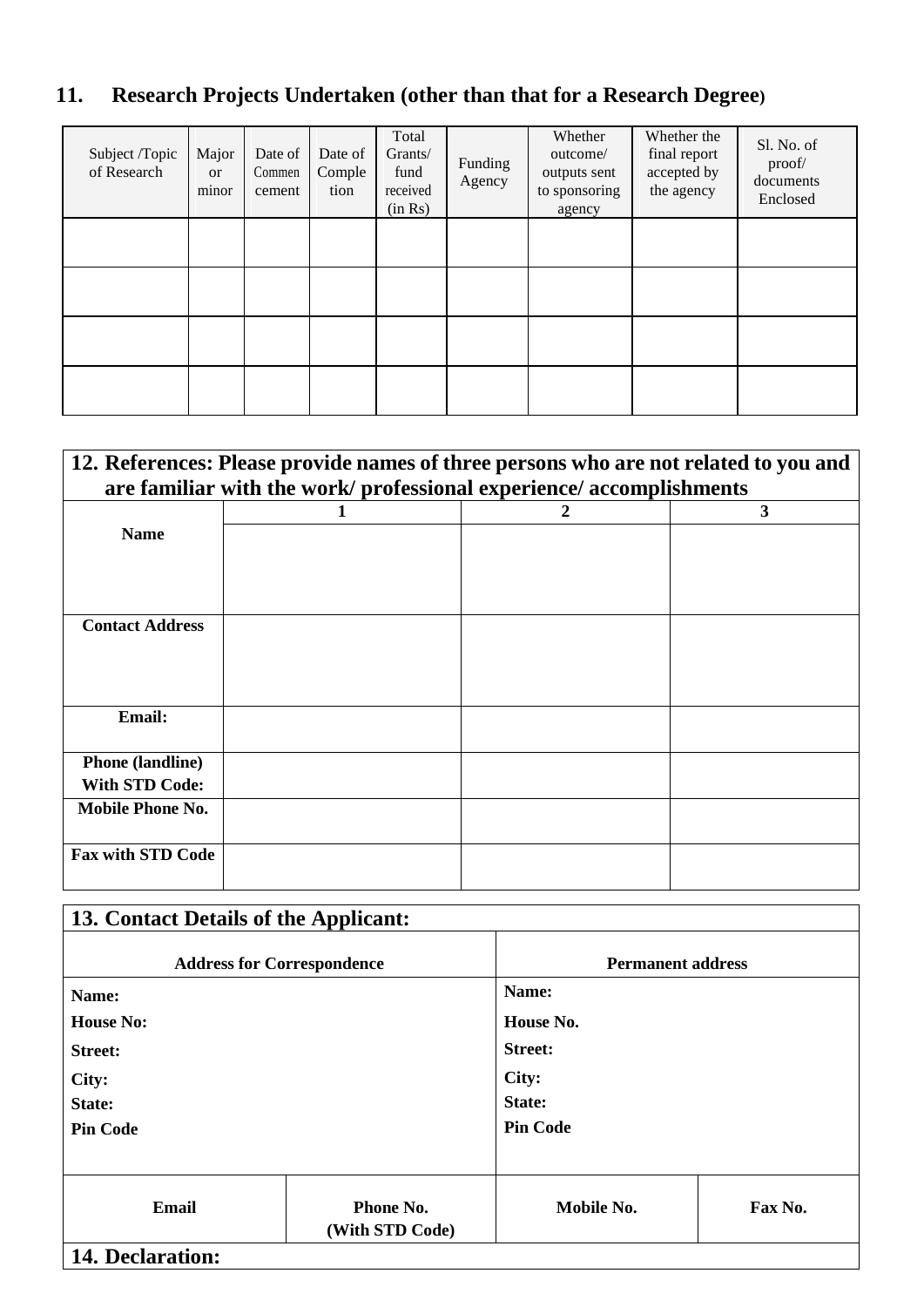## **11. Research Projects Undertaken (other than that for a Research Degree)**

| Subject /Topic<br>of Research | Major<br><b>or</b><br>minor | Date of<br>Commen<br>cement | Date of<br>Comple<br>tion | Total<br>Grants/<br>fund<br>received<br>(in Rs) | Funding<br>Agency | Whether<br>outcome/<br>outputs sent<br>to sponsoring<br>agency | Whether the<br>final report<br>accepted by<br>the agency | Sl. No. of<br>proof/<br>documents<br>Enclosed |
|-------------------------------|-----------------------------|-----------------------------|---------------------------|-------------------------------------------------|-------------------|----------------------------------------------------------------|----------------------------------------------------------|-----------------------------------------------|
|                               |                             |                             |                           |                                                 |                   |                                                                |                                                          |                                               |
|                               |                             |                             |                           |                                                 |                   |                                                                |                                                          |                                               |
|                               |                             |                             |                           |                                                 |                   |                                                                |                                                          |                                               |
|                               |                             |                             |                           |                                                 |                   |                                                                |                                                          |                                               |

## **12. References: Please provide names of three persons who are not related to you and are familiar with the work/ professional experience/ accomplishments**

|                          | $\boldsymbol{2}$ | $\mathbf{3}$ |
|--------------------------|------------------|--------------|
| <b>Name</b>              |                  |              |
|                          |                  |              |
|                          |                  |              |
|                          |                  |              |
| <b>Contact Address</b>   |                  |              |
|                          |                  |              |
|                          |                  |              |
|                          |                  |              |
| Email:                   |                  |              |
|                          |                  |              |
| <b>Phone</b> (landline)  |                  |              |
| <b>With STD Code:</b>    |                  |              |
| Mobile Phone No.         |                  |              |
|                          |                  |              |
| <b>Fax with STD Code</b> |                  |              |
|                          |                  |              |

| 13. Contact Details of the Applicant: |                              |                          |         |  |  |  |  |
|---------------------------------------|------------------------------|--------------------------|---------|--|--|--|--|
| <b>Address for Correspondence</b>     |                              | <b>Permanent address</b> |         |  |  |  |  |
| Name:                                 |                              | Name:                    |         |  |  |  |  |
| <b>House No:</b>                      |                              | House No.                |         |  |  |  |  |
| <b>Street:</b>                        |                              | <b>Street:</b>           |         |  |  |  |  |
| City:                                 |                              | City:                    |         |  |  |  |  |
| State:                                |                              | State:                   |         |  |  |  |  |
| <b>Pin Code</b>                       |                              | <b>Pin Code</b>          |         |  |  |  |  |
|                                       |                              |                          |         |  |  |  |  |
| Email                                 | Phone No.<br>(With STD Code) | Mobile No.               | Fax No. |  |  |  |  |
| 14. Declaration:                      |                              |                          |         |  |  |  |  |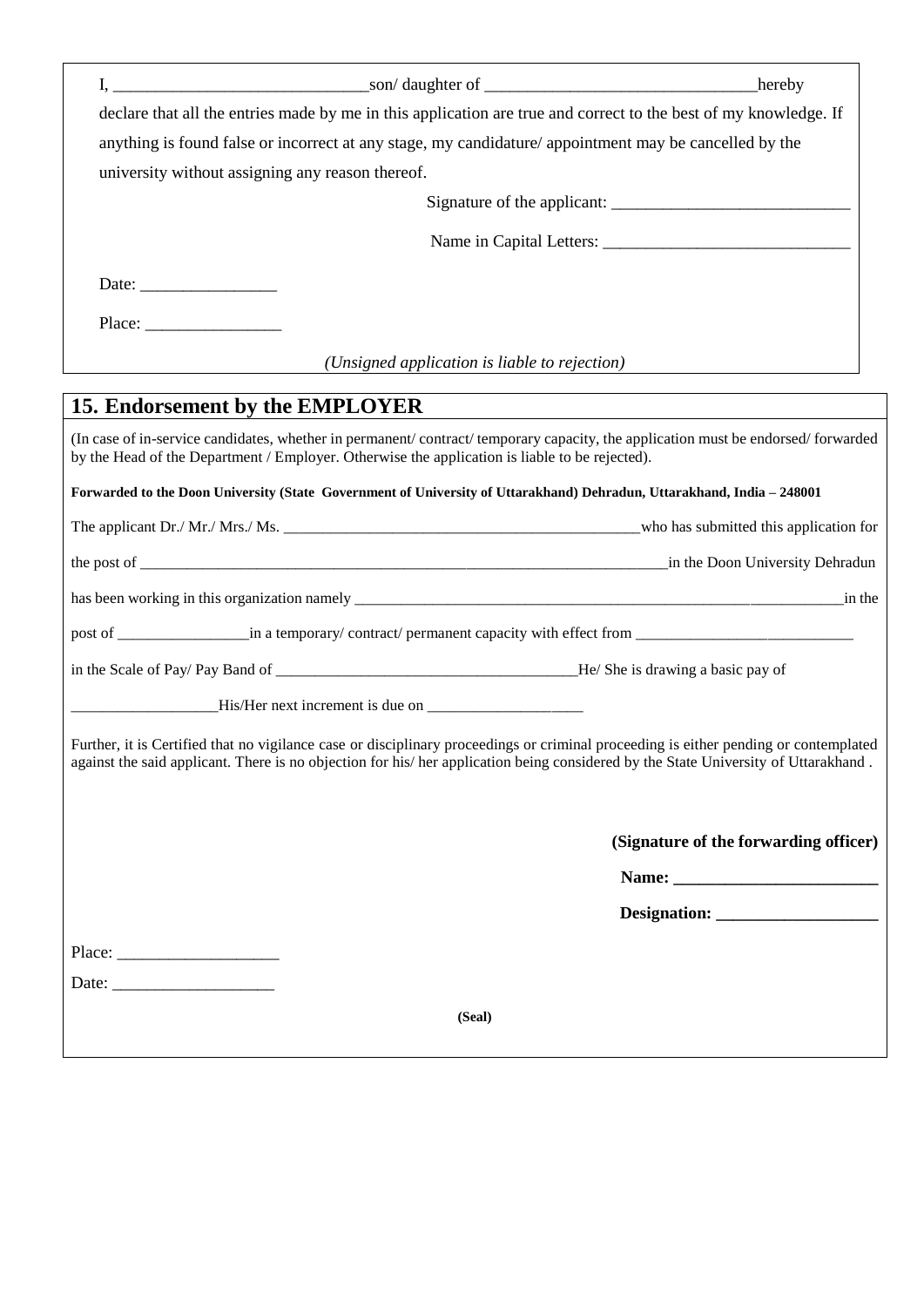|                                                  | declare that all the entries made by me in this application are true and correct to the best of my knowledge. If                                                                                                                                                            |                                       |
|--------------------------------------------------|-----------------------------------------------------------------------------------------------------------------------------------------------------------------------------------------------------------------------------------------------------------------------------|---------------------------------------|
|                                                  | anything is found false or incorrect at any stage, my candidature/appointment may be cancelled by the                                                                                                                                                                       |                                       |
| university without assigning any reason thereof. |                                                                                                                                                                                                                                                                             |                                       |
|                                                  |                                                                                                                                                                                                                                                                             |                                       |
|                                                  |                                                                                                                                                                                                                                                                             |                                       |
| Date: $\qquad \qquad$                            |                                                                                                                                                                                                                                                                             |                                       |
|                                                  |                                                                                                                                                                                                                                                                             |                                       |
|                                                  | (Unsigned application is liable to rejection)                                                                                                                                                                                                                               |                                       |
| 15. Endorsement by the EMPLOYER                  |                                                                                                                                                                                                                                                                             |                                       |
|                                                  | (In case of in-service candidates, whether in permanent/contract/temporary capacity, the application must be endorsed/forwarded<br>by the Head of the Department / Employer. Otherwise the application is liable to be rejected).                                           |                                       |
|                                                  | Forwarded to the Doon University (State Government of University of Uttarakhand) Dehradun, Uttarakhand, India - 248001                                                                                                                                                      |                                       |
|                                                  |                                                                                                                                                                                                                                                                             |                                       |
|                                                  |                                                                                                                                                                                                                                                                             |                                       |
|                                                  |                                                                                                                                                                                                                                                                             | in the                                |
|                                                  | post of _________________in a temporary/contract/permanent capacity with effect from _____________________                                                                                                                                                                  |                                       |
|                                                  |                                                                                                                                                                                                                                                                             |                                       |
|                                                  |                                                                                                                                                                                                                                                                             |                                       |
|                                                  | Further, it is Certified that no vigilance case or disciplinary proceedings or criminal proceeding is either pending or contemplated<br>against the said applicant. There is no objection for his/ her application being considered by the State University of Uttarakhand. |                                       |
|                                                  |                                                                                                                                                                                                                                                                             | (Signature of the forwarding officer) |
|                                                  |                                                                                                                                                                                                                                                                             |                                       |
|                                                  |                                                                                                                                                                                                                                                                             |                                       |
|                                                  |                                                                                                                                                                                                                                                                             |                                       |
|                                                  |                                                                                                                                                                                                                                                                             |                                       |
|                                                  | (Seal)                                                                                                                                                                                                                                                                      |                                       |
|                                                  |                                                                                                                                                                                                                                                                             |                                       |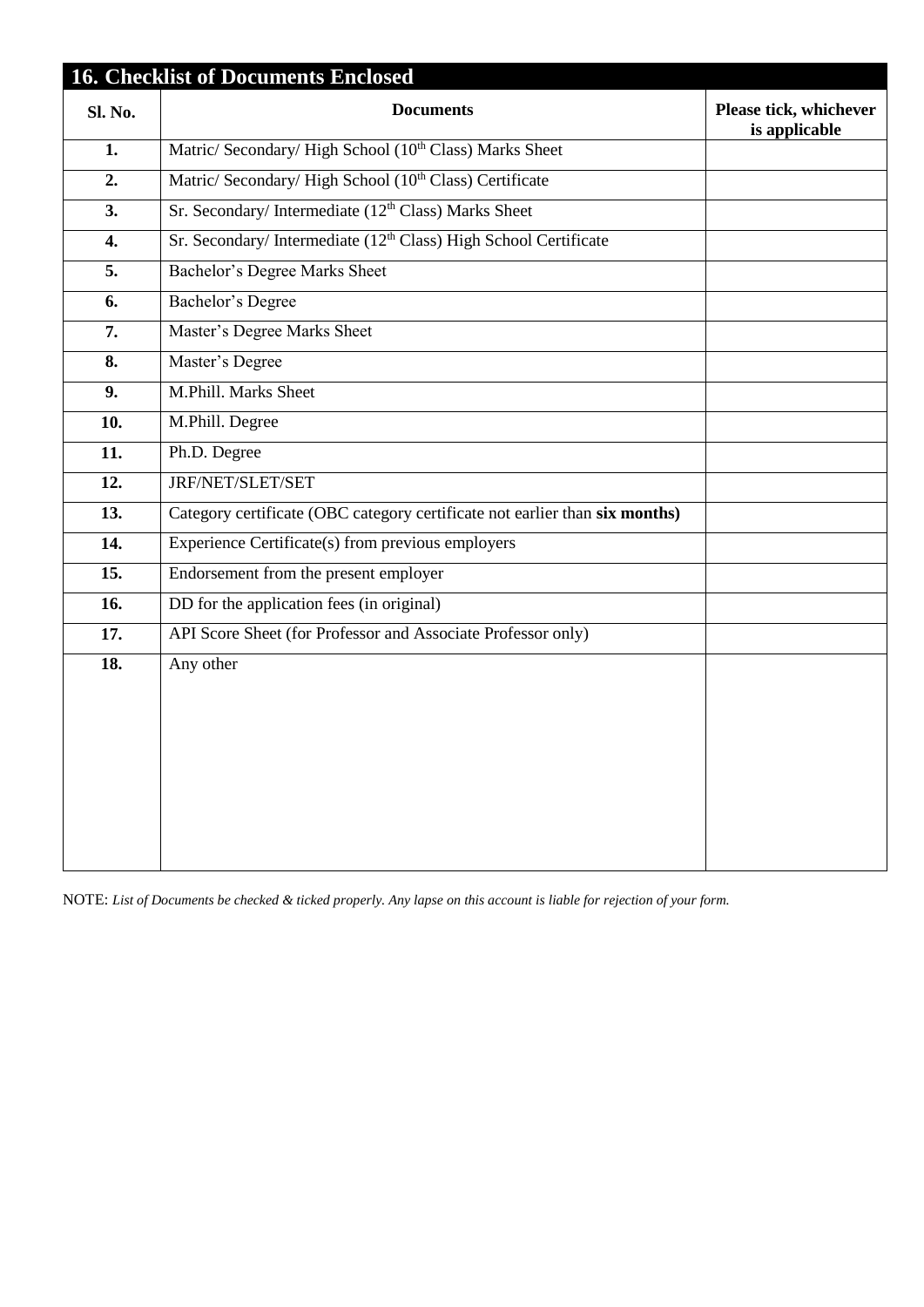|                   | <b>16. Checklist of Documents Enclosed</b>                                  |                                         |
|-------------------|-----------------------------------------------------------------------------|-----------------------------------------|
| Sl. No.           | <b>Documents</b>                                                            | Please tick, whichever<br>is applicable |
| 1.                | Matric/ Secondary/ High School (10 <sup>th</sup> Class) Marks Sheet         |                                         |
| 2.                | Matric/ Secondary/ High School (10 <sup>th</sup> Class) Certificate         |                                         |
| 3.                | Sr. Secondary/ Intermediate (12 <sup>th</sup> Class) Marks Sheet            |                                         |
| 4.                | Sr. Secondary/Intermediate (12 <sup>th</sup> Class) High School Certificate |                                         |
| 5.                | Bachelor's Degree Marks Sheet                                               |                                         |
| 6.                | <b>Bachelor's Degree</b>                                                    |                                         |
| 7.                | Master's Degree Marks Sheet                                                 |                                         |
| 8.                | Master's Degree                                                             |                                         |
| 9.                | M.Phill. Marks Sheet                                                        |                                         |
| 10.               | M.Phill. Degree                                                             |                                         |
| 11.               | Ph.D. Degree                                                                |                                         |
| 12.               | JRF/NET/SLET/SET                                                            |                                         |
| 13.               | Category certificate (OBC category certificate not earlier than six months) |                                         |
| 14.               | Experience Certificate(s) from previous employers                           |                                         |
| 15.               | Endorsement from the present employer                                       |                                         |
| 16.               | DD for the application fees (in original)                                   |                                         |
| 17.               | API Score Sheet (for Professor and Associate Professor only)                |                                         |
| $\overline{18}$ . | Any other                                                                   |                                         |
|                   |                                                                             |                                         |
|                   |                                                                             |                                         |
|                   |                                                                             |                                         |
|                   |                                                                             |                                         |
|                   |                                                                             |                                         |
|                   |                                                                             |                                         |

NOTE: *List of Documents be checked & ticked properly. Any lapse on this account is liable for rejection of your form.*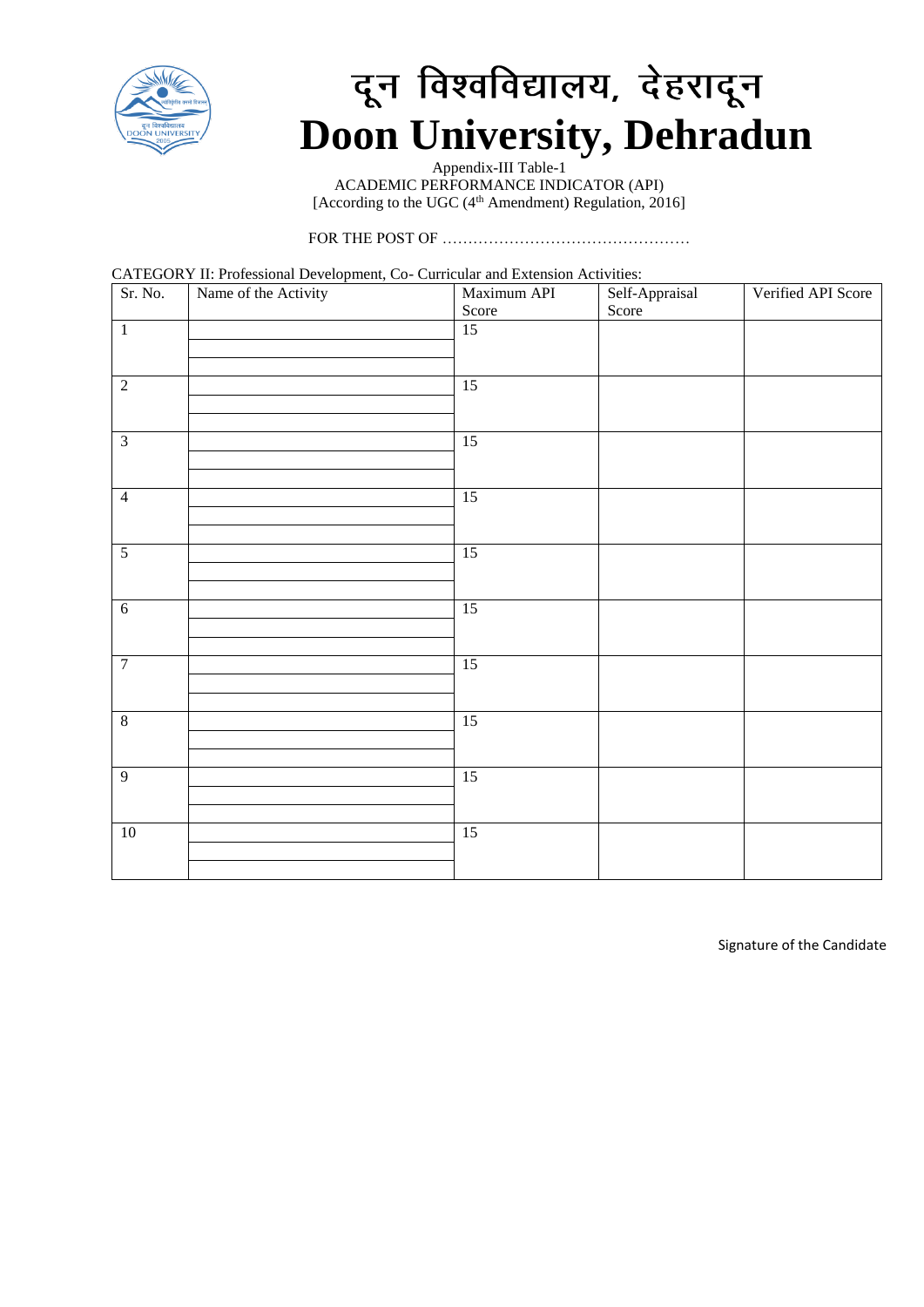

# दून विश्वविद्यालय, देहरादून **Doon University, Dehradun**

Appendix-III Table-1 ACADEMIC PERFORMANCE INDICATOR (API) [According to the UGC  $(4<sup>th</sup>$  Amendment) Regulation, 2016]

FOR THE POST OF …………………………………………

CATEGORY II: Professional Development, Co- Curricular and Extension Activities:

| Sr. No.        | Name of the Activity | Maximum API<br>Score | Self-Appraisal<br>Score | Verified API Score |
|----------------|----------------------|----------------------|-------------------------|--------------------|
| $\,1\,$        |                      | $\overline{15}$      |                         |                    |
| $\overline{2}$ |                      | 15                   |                         |                    |
| $\overline{3}$ |                      | 15                   |                         |                    |
| $\overline{4}$ |                      | 15                   |                         |                    |
| $\overline{5}$ |                      | 15                   |                         |                    |
| $\overline{6}$ |                      | 15                   |                         |                    |
| $\overline{7}$ |                      | 15                   |                         |                    |
| $\overline{8}$ |                      | 15                   |                         |                    |
| $\overline{9}$ |                      | 15                   |                         |                    |
| $10\,$         |                      | 15                   |                         |                    |

Signature of the Candidate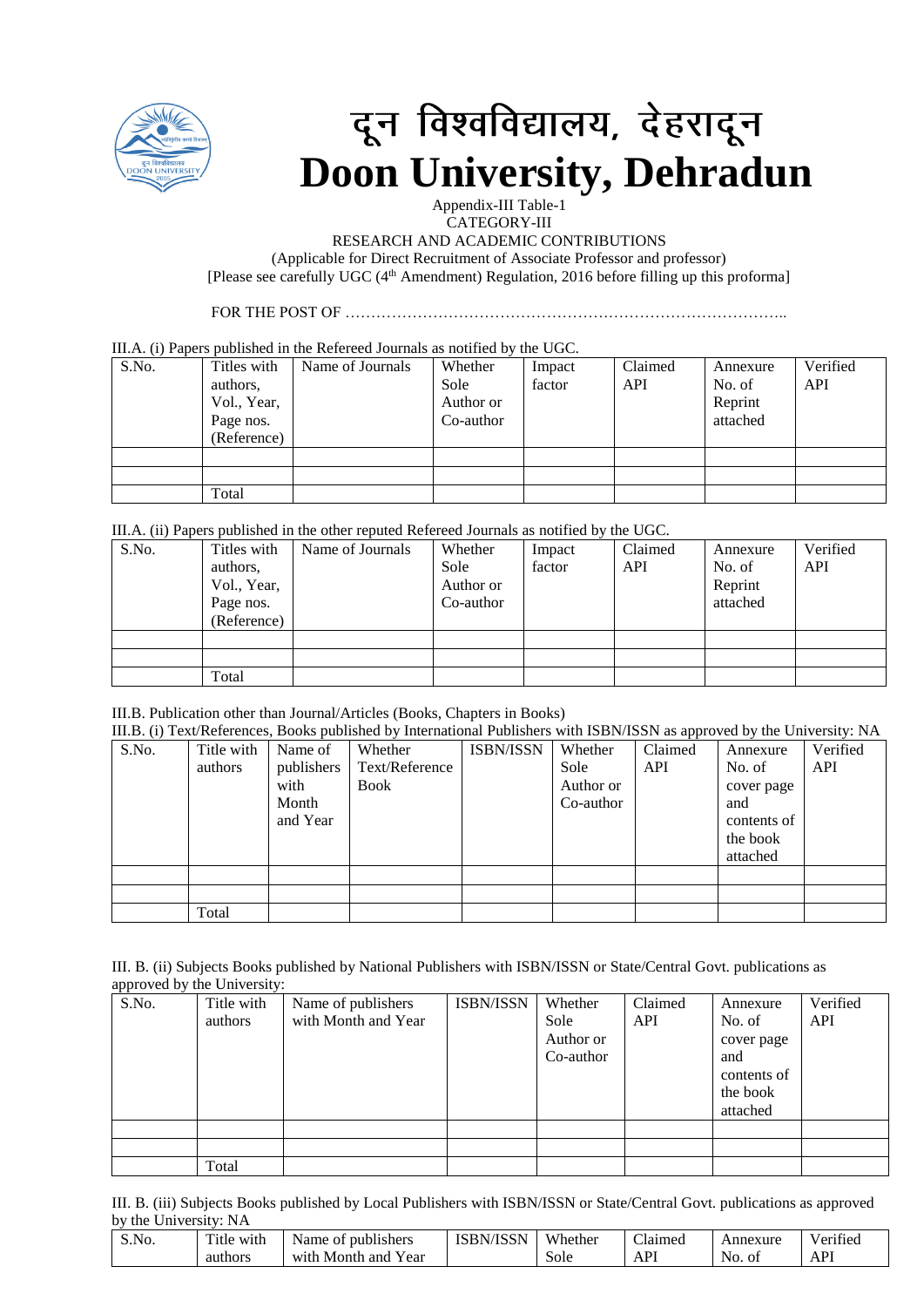

# दून विश्वविद्यालय, देहरादून **Doon University, Dehradun**

Appendix-III Table-1 CATEGORY-III

RESEARCH AND ACADEMIC CONTRIBUTIONS

(Applicable for Direct Recruitment of Associate Professor and professor) [Please see carefully UGC (4<sup>th</sup> Amendment) Regulation, 2016 before filling up this proforma]

FOR THE POST OF …………………………………………………………………………..

#### III.A. (i) Papers published in the Refereed Journals as notified by the UGC.

| S.No. | Titles with | Name of Journals | Whether   | Impact | Claimed | Annexure | Verified |
|-------|-------------|------------------|-----------|--------|---------|----------|----------|
|       | authors,    |                  | Sole      | factor | API     | No. of   | API      |
|       | Vol., Year, |                  | Author or |        |         | Reprint  |          |
|       | Page nos.   |                  | Co-author |        |         | attached |          |
|       | (Reference) |                  |           |        |         |          |          |
|       |             |                  |           |        |         |          |          |
|       |             |                  |           |        |         |          |          |
|       | Total       |                  |           |        |         |          |          |

III.A. (ii) Papers published in the other reputed Refereed Journals as notified by the UGC.

| S.No. | Titles with | Name of Journals | Whether   | Impact | Claimed | Annexure | Verified |
|-------|-------------|------------------|-----------|--------|---------|----------|----------|
|       | authors,    |                  | Sole      | factor | API     | No. of   | API      |
|       | Vol., Year, |                  | Author or |        |         | Reprint  |          |
|       | Page nos.   |                  | Co-author |        |         | attached |          |
|       | (Reference) |                  |           |        |         |          |          |
|       |             |                  |           |        |         |          |          |
|       |             |                  |           |        |         |          |          |
|       | Total       |                  |           |        |         |          |          |

### III.B. Publication other than Journal/Articles (Books, Chapters in Books)

|       | III.B. (i) Text/References, Books published by International Publishers with ISBN/ISSN as approved by the University: NA |            |                |                  |           |         |             |          |  |
|-------|--------------------------------------------------------------------------------------------------------------------------|------------|----------------|------------------|-----------|---------|-------------|----------|--|
| S.No. | Title with                                                                                                               | Name of    | Whether        | <b>ISBN/ISSN</b> | Whether   | Claimed | Annexure    | Verified |  |
|       | authors                                                                                                                  | publishers | Text/Reference |                  | Sole      | API     | No. of      | API      |  |
|       |                                                                                                                          | with       | <b>Book</b>    |                  | Author or |         | cover page  |          |  |
|       |                                                                                                                          | Month      |                |                  | Co-author |         | and         |          |  |
|       |                                                                                                                          | and Year   |                |                  |           |         | contents of |          |  |
|       |                                                                                                                          |            |                |                  |           |         | the book    |          |  |
|       |                                                                                                                          |            |                |                  |           |         | attached    |          |  |
|       |                                                                                                                          |            |                |                  |           |         |             |          |  |
|       |                                                                                                                          |            |                |                  |           |         |             |          |  |
|       | Total                                                                                                                    |            |                |                  |           |         |             |          |  |

III. B. (ii) Subjects Books published by National Publishers with ISBN/ISSN or State/Central Govt. publications as approved by the University:

| $\sim$ $\sim$<br>S.No. | Title with | Name of publishers  | ISBN/ISSN | Whether   | Claimed    | Annexure    | Verified |
|------------------------|------------|---------------------|-----------|-----------|------------|-------------|----------|
|                        | authors    | with Month and Year |           | Sole      | <b>API</b> | No. of      | API      |
|                        |            |                     |           | Author or |            | cover page  |          |
|                        |            |                     |           | Co-author |            | and         |          |
|                        |            |                     |           |           |            | contents of |          |
|                        |            |                     |           |           |            | the book    |          |
|                        |            |                     |           |           |            | attached    |          |
|                        |            |                     |           |           |            |             |          |
|                        |            |                     |           |           |            |             |          |
|                        | Total      |                     |           |           |            |             |          |

III. B. (iii) Subjects Books published by Local Publishers with ISBN/ISSN or State/Central Govt. publications as approved by the University: NA

| S.No. | Title<br>. .<br>with | publishers<br>Name<br>ΟĪ    | <b>ISBN/ISSN</b> | Whether | $\sim$<br>Llaimed | Annexure   | $\cdot$<br>Verified |
|-------|----------------------|-----------------------------|------------------|---------|-------------------|------------|---------------------|
|       | authors              | ear<br>Month<br>and<br>with |                  | Sole    | $\mathbf{D}$<br>ı | NO.<br>-01 | <b>API</b>          |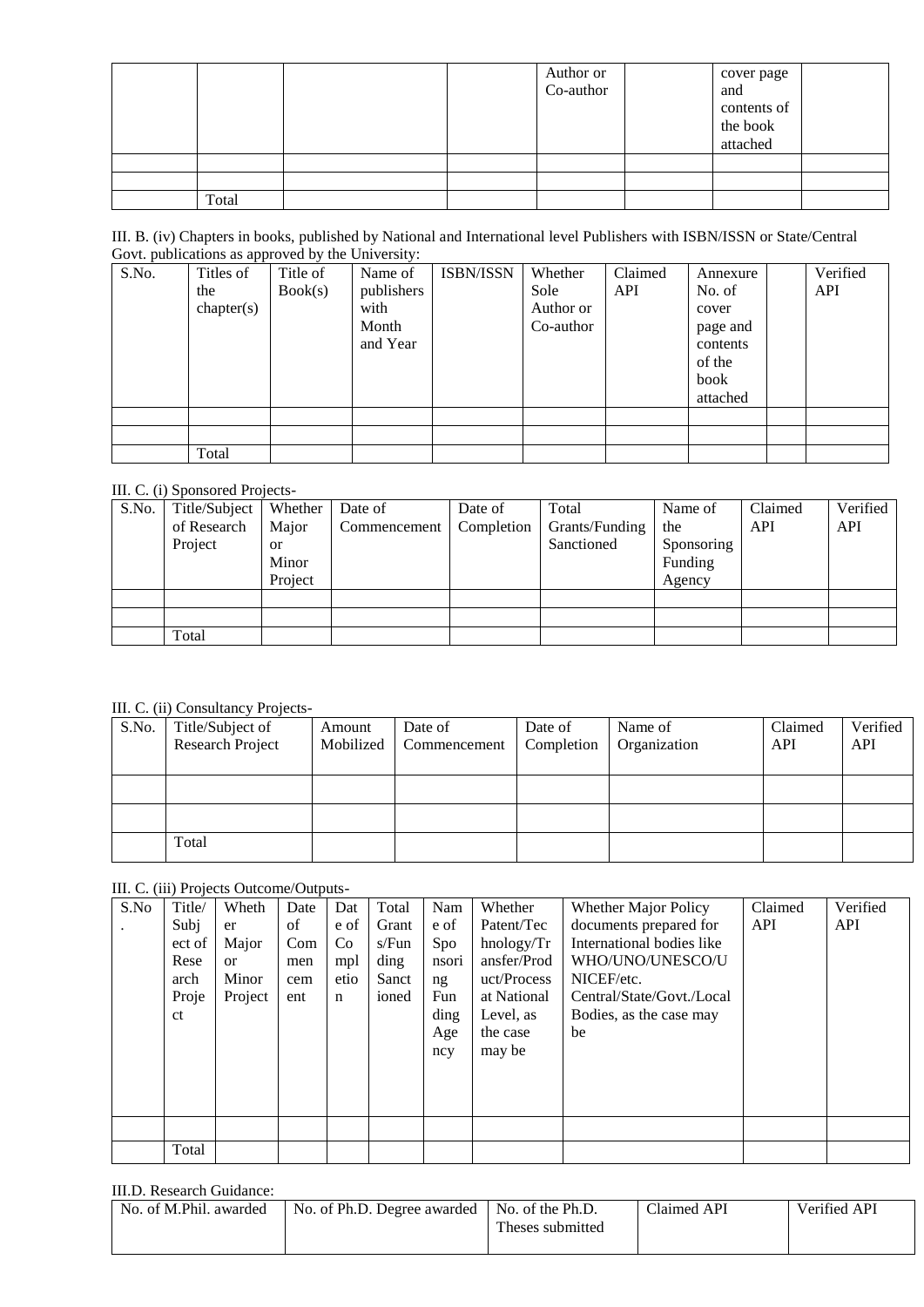|       |  | Author or<br>Co-author | cover page<br>and<br>contents of<br>the book<br>attached |  |
|-------|--|------------------------|----------------------------------------------------------|--|
|       |  |                        |                                                          |  |
|       |  |                        |                                                          |  |
| Total |  |                        |                                                          |  |

| III. B. (iv) Chapters in books, published by National and International level Publishers with ISBN/ISSN or State/Central |
|--------------------------------------------------------------------------------------------------------------------------|
| Govt. publications as approved by the University:                                                                        |

| S.No. | Titles of  | Title of | Name of    | <b>ISBN/ISSN</b> | Whether   | Claimed    | Annexure | Verified |
|-------|------------|----------|------------|------------------|-----------|------------|----------|----------|
|       | the        | Book(s)  | publishers |                  | Sole      | <b>API</b> | No. of   | API      |
|       | chapter(s) |          | with       |                  | Author or |            | cover    |          |
|       |            |          | Month      |                  | Co-author |            | page and |          |
|       |            |          | and Year   |                  |           |            | contents |          |
|       |            |          |            |                  |           |            | of the   |          |
|       |            |          |            |                  |           |            | book     |          |
|       |            |          |            |                  |           |            | attached |          |
|       |            |          |            |                  |           |            |          |          |
|       |            |          |            |                  |           |            |          |          |
|       | Total      |          |            |                  |           |            |          |          |

### III. C. (i) Sponsored Projects-

| S.No. | Title/Subject | Whether   | Date of      | Date of    | Total          | Name of    | Claimed | Verified |
|-------|---------------|-----------|--------------|------------|----------------|------------|---------|----------|
|       | of Research   | Major     | Commencement | Completion | Grants/Funding | the        | API     | API      |
|       | Project       | <b>or</b> |              |            | Sanctioned     | Sponsoring |         |          |
|       |               | Minor     |              |            |                | Funding    |         |          |
|       |               | Project   |              |            |                | Agency     |         |          |
|       |               |           |              |            |                |            |         |          |
|       |               |           |              |            |                |            |         |          |
|       | Total         |           |              |            |                |            |         |          |

III. C. (ii) Consultancy Projects-

| Title/Subject of | Amount                  | Date of | Date of    | Name of                | Claimed | Verified |
|------------------|-------------------------|---------|------------|------------------------|---------|----------|
|                  |                         |         | Completion | Organization           | API     | API      |
|                  |                         |         |            |                        |         |          |
|                  |                         |         |            |                        |         |          |
|                  |                         |         |            |                        |         |          |
|                  |                         |         |            |                        |         |          |
| Total            |                         |         |            |                        |         |          |
|                  | <b>Research Project</b> |         |            | Mobilized Commencement |         |          |

### III. C. (iii) Projects Outcome/Outputs-

| S.No | Title/        | Wheth         | Date | Dat         | Total | Nam   | Whether     | Whether Major Policy      | Claimed | Verified |
|------|---------------|---------------|------|-------------|-------|-------|-------------|---------------------------|---------|----------|
|      | Subj          | er            | of   | e of        | Grant | e of  | Patent/Tec  | documents prepared for    | API     | API      |
|      | ect of        | Major         | Com  | Co          | s/Fun | Spo   | hnology/Tr  | International bodies like |         |          |
|      | Rese          | <sub>or</sub> | men  | mpl         | ding  | nsori | ansfer/Prod | WHO/UNO/UNESCO/U          |         |          |
|      | arch          | Minor         | cem  | etio        | Sanct | ng    | uct/Process | NICEF/etc.                |         |          |
|      | Proje         | Project       | ent  | $\mathbf n$ | ioned | Fun   | at National | Central/State/Govt./Local |         |          |
|      | <sub>ct</sub> |               |      |             |       | ding  | Level, as   | Bodies, as the case may   |         |          |
|      |               |               |      |             |       | Age   | the case    | be                        |         |          |
|      |               |               |      |             |       | ncy   | may be      |                           |         |          |
|      |               |               |      |             |       |       |             |                           |         |          |
|      |               |               |      |             |       |       |             |                           |         |          |
|      |               |               |      |             |       |       |             |                           |         |          |
|      |               |               |      |             |       |       |             |                           |         |          |
|      |               |               |      |             |       |       |             |                           |         |          |
|      | Total         |               |      |             |       |       |             |                           |         |          |
|      |               |               |      |             |       |       |             |                           |         |          |

### III.D. Research Guidance:

| No. of M.Phil. awarded | No. of Ph.D. Degree awarded   No. of the Ph.D. |                  | Claimed API | Verified API |
|------------------------|------------------------------------------------|------------------|-------------|--------------|
|                        |                                                | Theses submitted |             |              |
|                        |                                                |                  |             |              |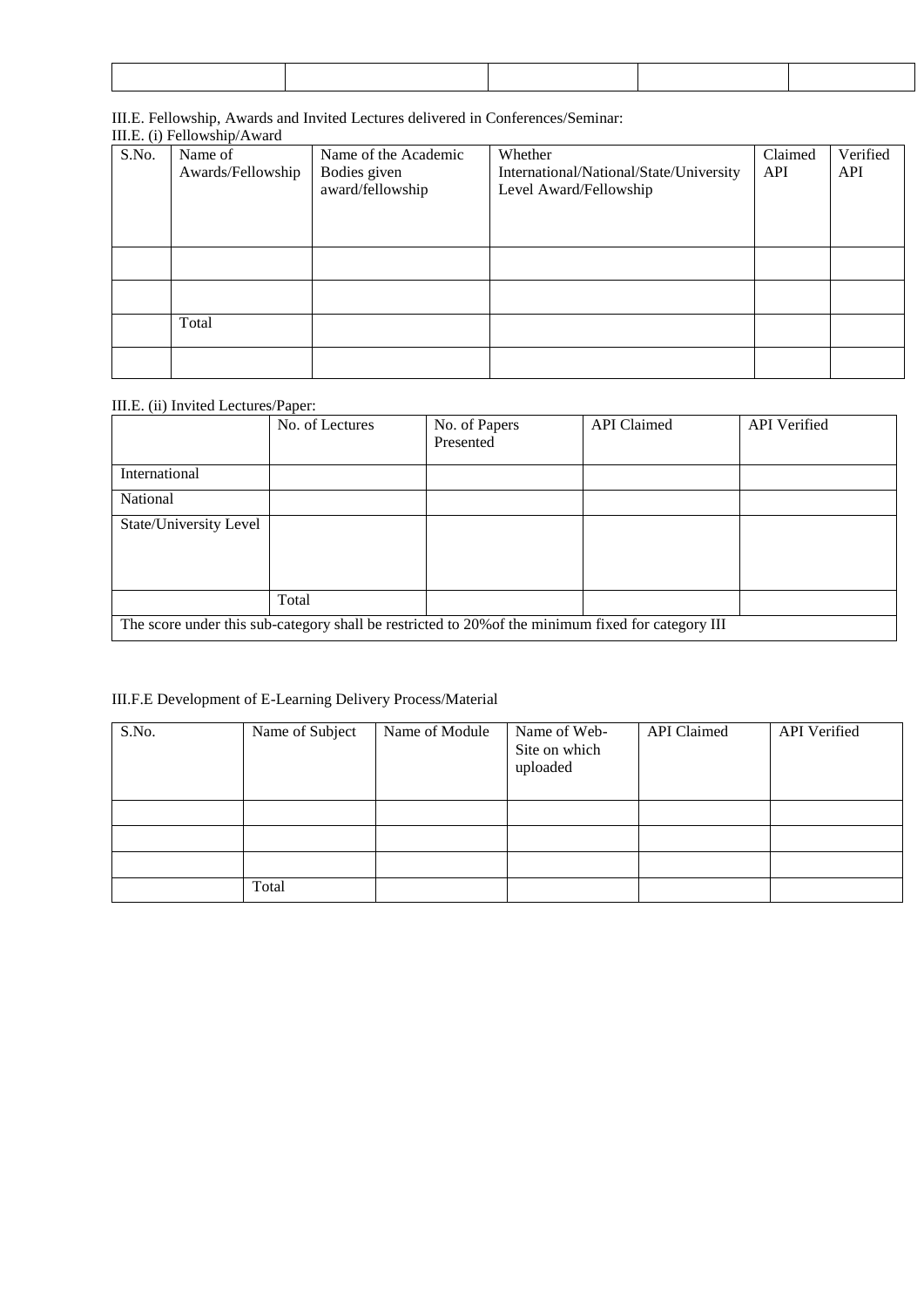### III.E. Fellowship, Awards and Invited Lectures delivered in Conferences/Seminar:

|       | III.E. (i) Fellowship/Award     |                                  |                                                                   |         |          |  |  |  |  |  |
|-------|---------------------------------|----------------------------------|-------------------------------------------------------------------|---------|----------|--|--|--|--|--|
| S.No. | Name of<br>Name of the Academic |                                  | Whether                                                           | Claimed | Verified |  |  |  |  |  |
|       | Awards/Fellowship               | Bodies given<br>award/fellowship | International/National/State/University<br>Level Award/Fellowship | API     | API      |  |  |  |  |  |
|       |                                 |                                  |                                                                   |         |          |  |  |  |  |  |
|       |                                 |                                  |                                                                   |         |          |  |  |  |  |  |
|       |                                 |                                  |                                                                   |         |          |  |  |  |  |  |
|       | Total                           |                                  |                                                                   |         |          |  |  |  |  |  |
|       |                                 |                                  |                                                                   |         |          |  |  |  |  |  |

### III.E. (ii) Invited Lectures/Paper:

|                                                                                                    | No. of Lectures | No. of Papers<br>Presented | <b>API</b> Claimed | <b>API</b> Verified |  |  |  |
|----------------------------------------------------------------------------------------------------|-----------------|----------------------------|--------------------|---------------------|--|--|--|
| International                                                                                      |                 |                            |                    |                     |  |  |  |
| National                                                                                           |                 |                            |                    |                     |  |  |  |
| State/University Level                                                                             |                 |                            |                    |                     |  |  |  |
|                                                                                                    |                 |                            |                    |                     |  |  |  |
|                                                                                                    |                 |                            |                    |                     |  |  |  |
|                                                                                                    | Total           |                            |                    |                     |  |  |  |
| The score under this sub-category shall be restricted to 20% of the minimum fixed for category III |                 |                            |                    |                     |  |  |  |

### III.F.E Development of E-Learning Delivery Process/Material

| S.No. | Name of Subject | Name of Module | Name of Web-<br>Site on which<br>uploaded | <b>API</b> Claimed | API Verified |
|-------|-----------------|----------------|-------------------------------------------|--------------------|--------------|
|       |                 |                |                                           |                    |              |
|       |                 |                |                                           |                    |              |
|       |                 |                |                                           |                    |              |
|       | Total           |                |                                           |                    |              |